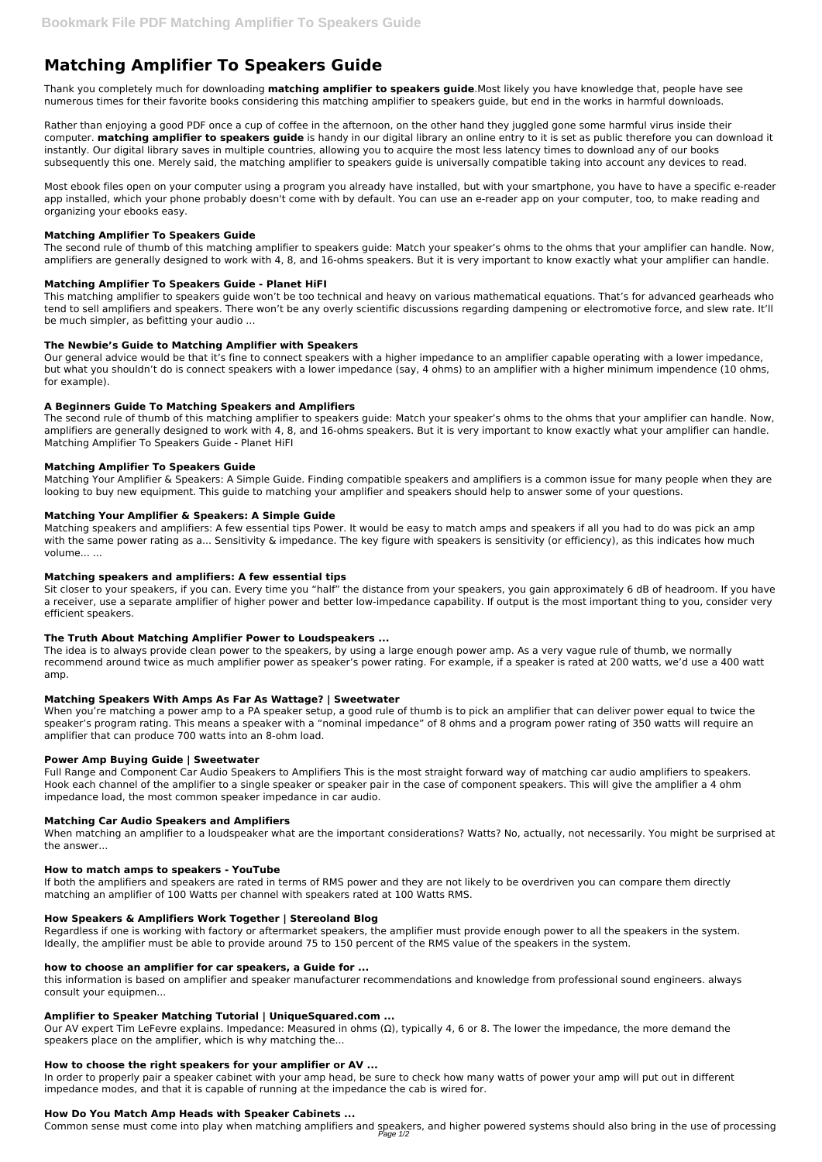# **Matching Amplifier To Speakers Guide**

Thank you completely much for downloading **matching amplifier to speakers guide**.Most likely you have knowledge that, people have see numerous times for their favorite books considering this matching amplifier to speakers guide, but end in the works in harmful downloads.

Rather than enjoying a good PDF once a cup of coffee in the afternoon, on the other hand they juggled gone some harmful virus inside their computer. **matching amplifier to speakers guide** is handy in our digital library an online entry to it is set as public therefore you can download it instantly. Our digital library saves in multiple countries, allowing you to acquire the most less latency times to download any of our books subsequently this one. Merely said, the matching amplifier to speakers guide is universally compatible taking into account any devices to read.

Most ebook files open on your computer using a program you already have installed, but with your smartphone, you have to have a specific e-reader app installed, which your phone probably doesn't come with by default. You can use an e-reader app on your computer, too, to make reading and organizing your ebooks easy.

## **Matching Amplifier To Speakers Guide**

The second rule of thumb of this matching amplifier to speakers guide: Match your speaker's ohms to the ohms that your amplifier can handle. Now, amplifiers are generally designed to work with 4, 8, and 16-ohms speakers. But it is very important to know exactly what your amplifier can handle.

# **Matching Amplifier To Speakers Guide - Planet HiFI**

This matching amplifier to speakers guide won't be too technical and heavy on various mathematical equations. That's for advanced gearheads who tend to sell amplifiers and speakers. There won't be any overly scientific discussions regarding dampening or electromotive force, and slew rate. It'll be much simpler, as befitting your audio ...

# **The Newbie's Guide to Matching Amplifier with Speakers**

Our general advice would be that it's fine to connect speakers with a higher impedance to an amplifier capable operating with a lower impedance, but what you shouldn't do is connect speakers with a lower impedance (say, 4 ohms) to an amplifier with a higher minimum impendence (10 ohms, for example).

## **A Beginners Guide To Matching Speakers and Amplifiers**

The second rule of thumb of this matching amplifier to speakers guide: Match your speaker's ohms to the ohms that your amplifier can handle. Now, amplifiers are generally designed to work with 4, 8, and 16-ohms speakers. But it is very important to know exactly what your amplifier can handle. Matching Amplifier To Speakers Guide - Planet HiFI

## **Matching Amplifier To Speakers Guide**

Matching Your Amplifier & Speakers: A Simple Guide. Finding compatible speakers and amplifiers is a common issue for many people when they are looking to buy new equipment. This guide to matching your amplifier and speakers should help to answer some of your questions.

## **Matching Your Amplifier & Speakers: A Simple Guide**

Our AV expert Tim LeFevre explains. Impedance: Measured in ohms  $(Ω)$ , typically 4, 6 or 8. The lower the impedance, the more demand the speakers place on the amplifier, which is why matching the...

Matching speakers and amplifiers: A few essential tips Power. It would be easy to match amps and speakers if all you had to do was pick an amp with the same power rating as a... Sensitivity & impedance. The key figure with speakers is sensitivity (or efficiency), as this indicates how much volume... ...

## **Matching speakers and amplifiers: A few essential tips**

Sit closer to your speakers, if you can. Every time you "half" the distance from your speakers, you gain approximately 6 dB of headroom. If you have a receiver, use a separate amplifier of higher power and better low-impedance capability. If output is the most important thing to you, consider very efficient speakers.

## **The Truth About Matching Amplifier Power to Loudspeakers ...**

The idea is to always provide clean power to the speakers, by using a large enough power amp. As a very vague rule of thumb, we normally recommend around twice as much amplifier power as speaker's power rating. For example, if a speaker is rated at 200 watts, we'd use a 400 watt amp.

## **Matching Speakers With Amps As Far As Wattage? | Sweetwater**

When you're matching a power amp to a PA speaker setup, a good rule of thumb is to pick an amplifier that can deliver power equal to twice the speaker's program rating. This means a speaker with a "nominal impedance" of 8 ohms and a program power rating of 350 watts will require an amplifier that can produce 700 watts into an 8-ohm load.

## **Power Amp Buying Guide | Sweetwater**

Full Range and Component Car Audio Speakers to Amplifiers This is the most straight forward way of matching car audio amplifiers to speakers. Hook each channel of the amplifier to a single speaker or speaker pair in the case of component speakers. This will give the amplifier a 4 ohm impedance load, the most common speaker impedance in car audio.

## **Matching Car Audio Speakers and Amplifiers**

When matching an amplifier to a loudspeaker what are the important considerations? Watts? No, actually, not necessarily. You might be surprised at the answer...

## **How to match amps to speakers - YouTube**

If both the amplifiers and speakers are rated in terms of RMS power and they are not likely to be overdriven you can compare them directly matching an amplifier of 100 Watts per channel with speakers rated at 100 Watts RMS.

#### **How Speakers & Amplifiers Work Together | Stereoland Blog**

Regardless if one is working with factory or aftermarket speakers, the amplifier must provide enough power to all the speakers in the system. Ideally, the amplifier must be able to provide around 75 to 150 percent of the RMS value of the speakers in the system.

#### **how to choose an amplifier for car speakers, a Guide for ...**

this information is based on amplifier and speaker manufacturer recommendations and knowledge from professional sound engineers. always consult your equipmen...

#### **Amplifier to Speaker Matching Tutorial | UniqueSquared.com ...**

#### **How to choose the right speakers for your amplifier or AV ...**

In order to properly pair a speaker cabinet with your amp head, be sure to check how many watts of power your amp will put out in different impedance modes, and that it is capable of running at the impedance the cab is wired for.

#### **How Do You Match Amp Heads with Speaker Cabinets ...**

Common sense must come into play when matching amplifiers and speakers, and higher powered systems should also bring in the use of processing Page 1/2